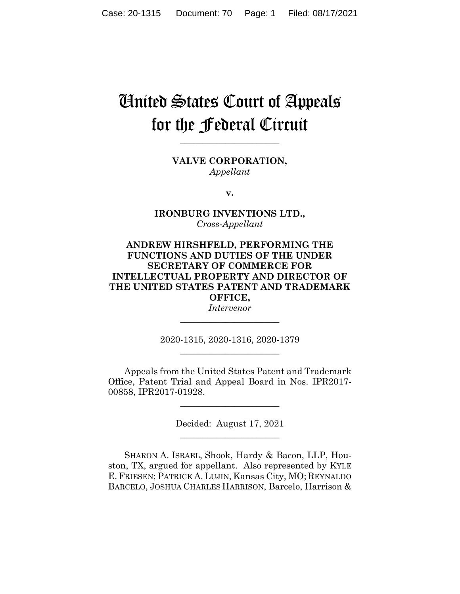# United States Court of Appeals for the Federal Circuit

**\_\_\_\_\_\_\_\_\_\_\_\_\_\_\_\_\_\_\_\_\_\_**

**VALVE CORPORATION,** *Appellant*

**v.**

**IRONBURG INVENTIONS LTD.,** *Cross-Appellant*

## **ANDREW HIRSHFELD, PERFORMING THE FUNCTIONS AND DUTIES OF THE UNDER SECRETARY OF COMMERCE FOR INTELLECTUAL PROPERTY AND DIRECTOR OF THE UNITED STATES PATENT AND TRADEMARK OFFICE,**

*Intervenor* **\_\_\_\_\_\_\_\_\_\_\_\_\_\_\_\_\_\_\_\_\_\_**

2020-1315, 2020-1316, 2020-1379 **\_\_\_\_\_\_\_\_\_\_\_\_\_\_\_\_\_\_\_\_\_\_**

Appeals from the United States Patent and Trademark Office, Patent Trial and Appeal Board in Nos. IPR2017- 00858, IPR2017-01928.

> Decided: August 17, 2021 \_\_\_\_\_\_\_\_\_\_\_\_\_\_\_\_\_\_\_\_\_\_

\_\_\_\_\_\_\_\_\_\_\_\_\_\_\_\_\_\_\_\_\_\_

SHARON A. ISRAEL, Shook, Hardy & Bacon, LLP, Houston, TX, argued for appellant. Also represented by KYLE E. FRIESEN; PATRICK A. LUJIN, Kansas City, MO; REYNALDO BARCELO, JOSHUA CHARLES HARRISON, Barcelo, Harrison &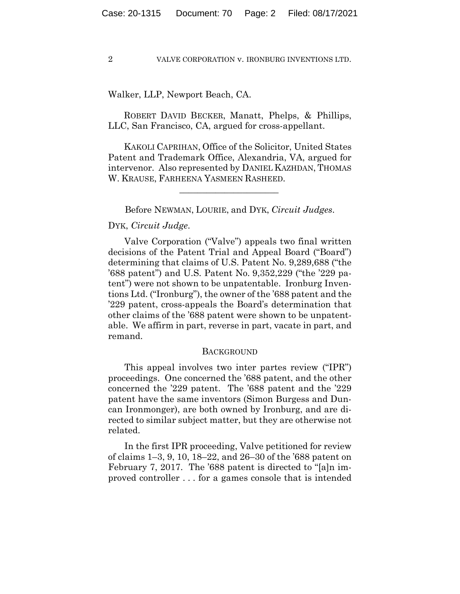## Walker, LLP, Newport Beach, CA.

 ROBERT DAVID BECKER, Manatt, Phelps, & Phillips, LLC, San Francisco, CA, argued for cross-appellant.

 KAKOLI CAPRIHAN, Office of the Solicitor, United States Patent and Trademark Office, Alexandria, VA, argued for intervenor. Also represented by DANIEL KAZHDAN, THOMAS W. KRAUSE, FARHEENA YASMEEN RASHEED.

Before NEWMAN, LOURIE, and DYK, *Circuit Judges*.

 $\mathcal{L}_\text{max}$  and  $\mathcal{L}_\text{max}$  and  $\mathcal{L}_\text{max}$  and  $\mathcal{L}_\text{max}$ 

## DYK, *Circuit Judge*.

Valve Corporation ("Valve") appeals two final written decisions of the Patent Trial and Appeal Board ("Board") determining that claims of U.S. Patent No. 9,289,688 ("the '688 patent") and U.S. Patent No. 9,352,229 ("the '229 patent") were not shown to be unpatentable. Ironburg Inventions Ltd. ("Ironburg"), the owner of the '688 patent and the '229 patent, cross-appeals the Board's determination that other claims of the '688 patent were shown to be unpatentable. We affirm in part, reverse in part, vacate in part, and remand.

#### BACKGROUND

This appeal involves two inter partes review ("IPR") proceedings. One concerned the '688 patent, and the other concerned the '229 patent. The '688 patent and the '229 patent have the same inventors (Simon Burgess and Duncan Ironmonger), are both owned by Ironburg, and are directed to similar subject matter, but they are otherwise not related.

In the first IPR proceeding, Valve petitioned for review of claims 1–3, 9, 10, 18–22, and 26–30 of the '688 patent on February 7, 2017. The '688 patent is directed to "[a]n improved controller . . . for a games console that is intended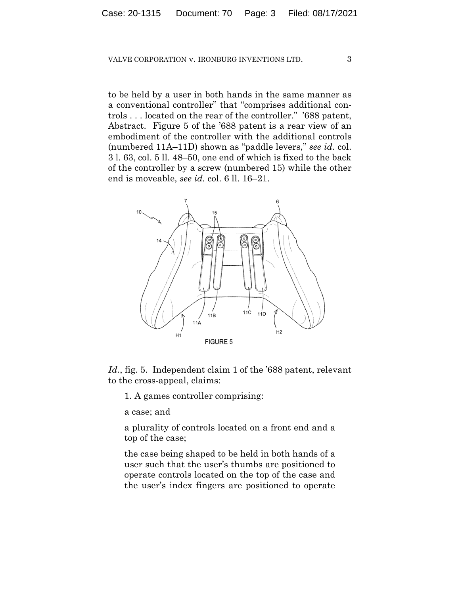to be held by a user in both hands in the same manner as a conventional controller" that "comprises additional controls . . . located on the rear of the controller." '688 patent, Abstract. Figure 5 of the '688 patent is a rear view of an embodiment of the controller with the additional controls (numbered 11A–11D) shown as "paddle levers," *see id.* col. 3 l. 63, col. 5 ll. 48–50, one end of which is fixed to the back of the controller by a screw (numbered 15) while the other end is moveable, *see id.* col. 6 ll. 16–21.



*Id.*, fig. 5. Independent claim 1 of the '688 patent, relevant to the cross-appeal, claims:

1. A games controller comprising:

a case; and

a plurality of controls located on a front end and a top of the case;

the case being shaped to be held in both hands of a user such that the user's thumbs are positioned to operate controls located on the top of the case and the user's index fingers are positioned to operate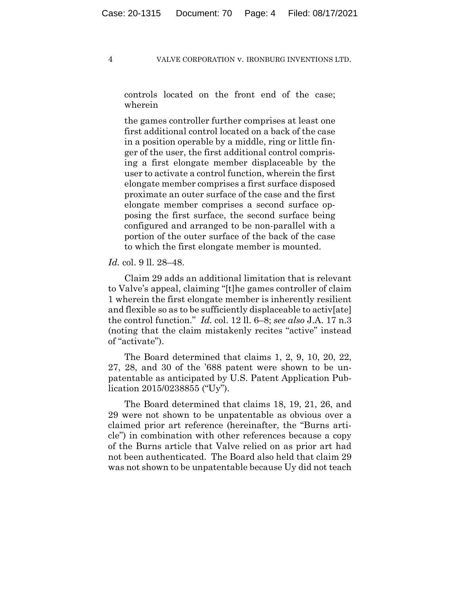controls located on the front end of the case; wherein

the games controller further comprises at least one first additional control located on a back of the case in a position operable by a middle, ring or little finger of the user, the first additional control comprising a first elongate member displaceable by the user to activate a control function, wherein the first elongate member comprises a first surface disposed proximate an outer surface of the case and the first elongate member comprises a second surface opposing the first surface, the second surface being configured and arranged to be non-parallel with a portion of the outer surface of the back of the case to which the first elongate member is mounted.

#### *Id.* col. 9 ll. 28–48.

Claim 29 adds an additional limitation that is relevant to Valve's appeal, claiming "[t]he games controller of claim 1 wherein the first elongate member is inherently resilient and flexible so as to be sufficiently displaceable to activ[ate] the control function." *Id.* col. 12 ll. 6–8; *see also* J.A. 17 n.3 (noting that the claim mistakenly recites "active" instead of "activate").

The Board determined that claims 1, 2, 9, 10, 20, 22, 27, 28, and 30 of the '688 patent were shown to be unpatentable as anticipated by U.S. Patent Application Publication 2015/0238855 ("Uy").

The Board determined that claims 18, 19, 21, 26, and 29 were not shown to be unpatentable as obvious over a claimed prior art reference (hereinafter, the "Burns article") in combination with other references because a copy of the Burns article that Valve relied on as prior art had not been authenticated. The Board also held that claim 29 was not shown to be unpatentable because Uy did not teach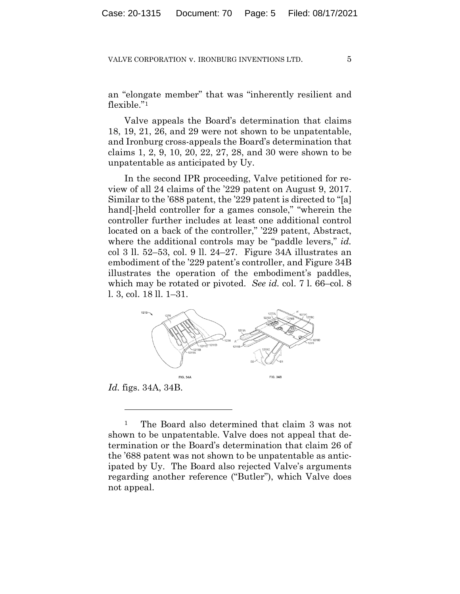an "elongate member" that was "inherently resilient and flexible."1

Valve appeals the Board's determination that claims 18, 19, 21, 26, and 29 were not shown to be unpatentable, and Ironburg cross-appeals the Board's determination that claims 1, 2, 9, 10, 20, 22, 27, 28, and 30 were shown to be unpatentable as anticipated by Uy.

In the second IPR proceeding, Valve petitioned for review of all 24 claims of the '229 patent on August 9, 2017. Similar to the '688 patent, the '229 patent is directed to "[a] hand[-]held controller for a games console," "wherein the controller further includes at least one additional control located on a back of the controller," '229 patent, Abstract, where the additional controls may be "paddle levers," *id.* col 3 ll. 52–53, col. 9 ll. 24–27. Figure 34A illustrates an embodiment of the '229 patent's controller, and Figure 34B illustrates the operation of the embodiment's paddles, which may be rotated or pivoted. *See id.* col. 7 l. 66–col. 8 l. 3, col. 18 ll. 1–31.



<sup>1</sup> The Board also determined that claim 3 was not shown to be unpatentable. Valve does not appeal that determination or the Board's determination that claim 26 of the '688 patent was not shown to be unpatentable as anticipated by Uy. The Board also rejected Valve's arguments regarding another reference ("Butler"), which Valve does not appeal.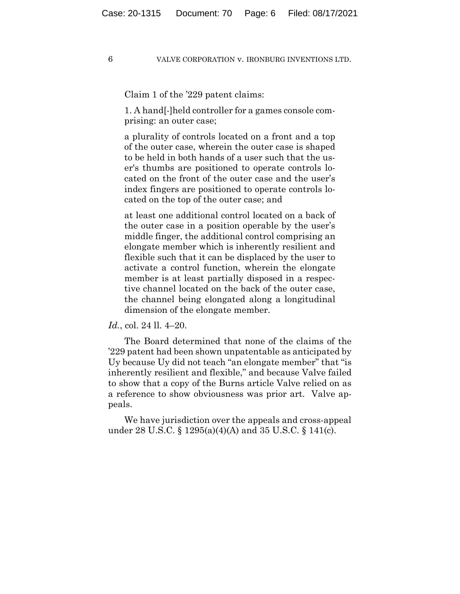Claim 1 of the '229 patent claims:

1. A hand[-]held controller for a games console comprising: an outer case;

a plurality of controls located on a front and a top of the outer case, wherein the outer case is shaped to be held in both hands of a user such that the user's thumbs are positioned to operate controls located on the front of the outer case and the user's index fingers are positioned to operate controls located on the top of the outer case; and

at least one additional control located on a back of the outer case in a position operable by the user's middle finger, the additional control comprising an elongate member which is inherently resilient and flexible such that it can be displaced by the user to activate a control function, wherein the elongate member is at least partially disposed in a respective channel located on the back of the outer case, the channel being elongated along a longitudinal dimension of the elongate member.

*Id.*, col. 24 ll. 4–20.

The Board determined that none of the claims of the '229 patent had been shown unpatentable as anticipated by Uy because Uy did not teach "an elongate member" that "is inherently resilient and flexible," and because Valve failed to show that a copy of the Burns article Valve relied on as a reference to show obviousness was prior art. Valve appeals.

We have jurisdiction over the appeals and cross-appeal under 28 U.S.C. § 1295(a)(4)(A) and 35 U.S.C. § 141(c).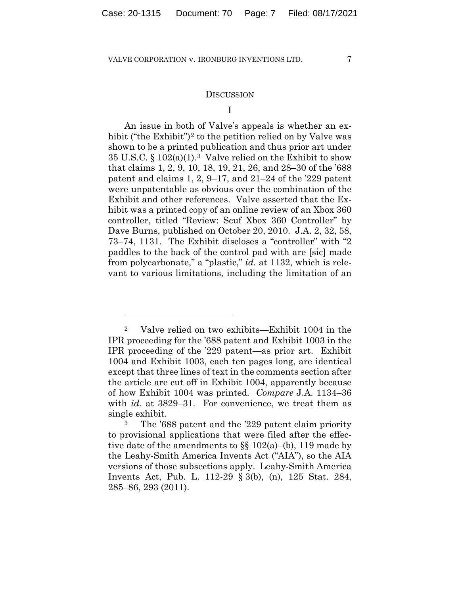## **DISCUSSION**

## I

An issue in both of Valve's appeals is whether an exhibit ("the Exhibit")<sup>2</sup> to the petition relied on by Valve was shown to be a printed publication and thus prior art under 35 U.S.C. §  $102(a)(1)$ .<sup>3</sup> Valve relied on the Exhibit to show that claims 1, 2, 9, 10, 18, 19, 21, 26, and 28–30 of the '688 patent and claims 1, 2, 9–17, and 21–24 of the '229 patent were unpatentable as obvious over the combination of the Exhibit and other references. Valve asserted that the Exhibit was a printed copy of an online review of an Xbox 360 controller, titled "Review: Scuf Xbox 360 Controller" by Dave Burns, published on October 20, 2010. J.A. 2, 32, 58, 73–74, 1131. The Exhibit discloses a "controller" with "2 paddles to the back of the control pad with are [sic] made from polycarbonate," a "plastic," *id.* at 1132, which is relevant to various limitations, including the limitation of an

<sup>2</sup> Valve relied on two exhibits—Exhibit 1004 in the IPR proceeding for the '688 patent and Exhibit 1003 in the IPR proceeding of the '229 patent—as prior art. Exhibit 1004 and Exhibit 1003, each ten pages long, are identical except that three lines of text in the comments section after the article are cut off in Exhibit 1004, apparently because of how Exhibit 1004 was printed. *Compare* J.A. 1134–36 with *id.* at 3829–31. For convenience, we treat them as single exhibit.

The '688 patent and the '229 patent claim priority to provisional applications that were filed after the effective date of the amendments to §§ 102(a)–(b), 119 made by the Leahy-Smith America Invents Act ("AIA"), so the AIA versions of those subsections apply. Leahy-Smith America Invents Act, Pub. L. 112-29 § 3(b), (n), 125 Stat. 284, 285–86, 293 (2011).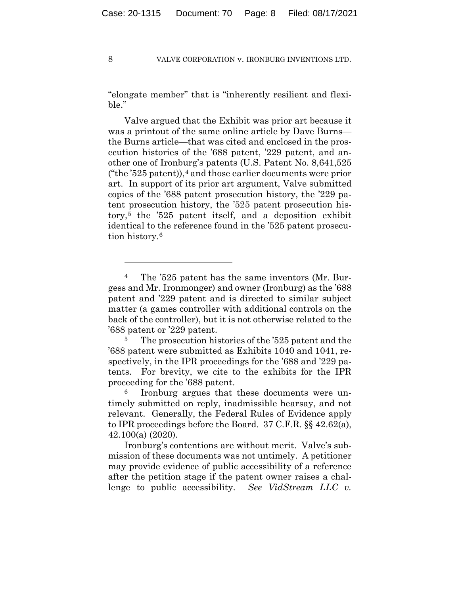"elongate member" that is "inherently resilient and flexible."

Valve argued that the Exhibit was prior art because it was a printout of the same online article by Dave Burns the Burns article—that was cited and enclosed in the prosecution histories of the '688 patent, '229 patent, and another one of Ironburg's patents (U.S. Patent No. 8,641,525 ("the  $325$  patent)),<sup>4</sup> and those earlier documents were prior art. In support of its prior art argument, Valve submitted copies of the '688 patent prosecution history, the '229 patent prosecution history, the '525 patent prosecution history,5 the '525 patent itself, and a deposition exhibit identical to the reference found in the '525 patent prosecution history.6

<sup>&</sup>lt;sup>4</sup> The '525 patent has the same inventors (Mr. Burgess and Mr. Ironmonger) and owner (Ironburg) as the '688 patent and '229 patent and is directed to similar subject matter (a games controller with additional controls on the back of the controller), but it is not otherwise related to the '688 patent or '229 patent.

<sup>&</sup>lt;sup>5</sup> The prosecution histories of the '525 patent and the '688 patent were submitted as Exhibits 1040 and 1041, respectively, in the IPR proceedings for the '688 and '229 patents. For brevity, we cite to the exhibits for the IPR proceeding for the '688 patent.

Ironburg argues that these documents were untimely submitted on reply, inadmissible hearsay, and not relevant. Generally, the Federal Rules of Evidence apply to IPR proceedings before the Board. 37 C.F.R. §§ 42.62(a), 42.100(a) (2020).

Ironburg's contentions are without merit. Valve's submission of these documents was not untimely. A petitioner may provide evidence of public accessibility of a reference after the petition stage if the patent owner raises a challenge to public accessibility. *See VidStream LLC v.*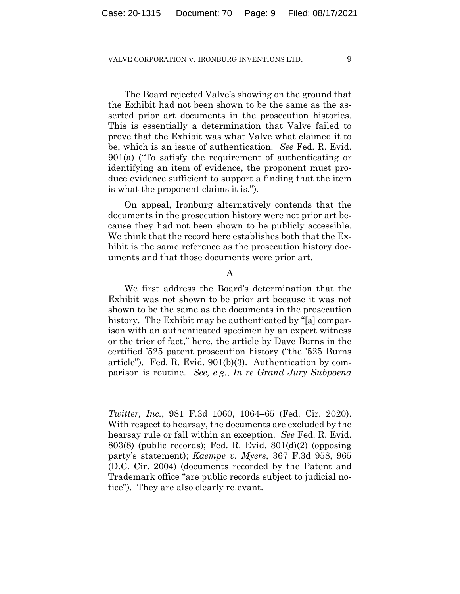The Board rejected Valve's showing on the ground that the Exhibit had not been shown to be the same as the asserted prior art documents in the prosecution histories. This is essentially a determination that Valve failed to prove that the Exhibit was what Valve what claimed it to be, which is an issue of authentication. *See* Fed. R. Evid. 901(a) ("To satisfy the requirement of authenticating or identifying an item of evidence, the proponent must produce evidence sufficient to support a finding that the item is what the proponent claims it is.").

On appeal, Ironburg alternatively contends that the documents in the prosecution history were not prior art because they had not been shown to be publicly accessible. We think that the record here establishes both that the Exhibit is the same reference as the prosecution history documents and that those documents were prior art.

A

We first address the Board's determination that the Exhibit was not shown to be prior art because it was not shown to be the same as the documents in the prosecution history. The Exhibit may be authenticated by "[a] comparison with an authenticated specimen by an expert witness or the trier of fact," here, the article by Dave Burns in the certified '525 patent prosecution history ("the '525 Burns article"). Fed. R. Evid. 901(b)(3). Authentication by comparison is routine. *See, e.g.*, *In re Grand Jury Subpoena* 

*Twitter, Inc.*, 981 F.3d 1060, 1064–65 (Fed. Cir. 2020). With respect to hearsay, the documents are excluded by the hearsay rule or fall within an exception. *See* Fed. R. Evid. 803(8) (public records); Fed. R. Evid. 801(d)(2) (opposing party's statement); *Kaempe v. Myers*, 367 F.3d 958, 965 (D.C. Cir. 2004) (documents recorded by the Patent and Trademark office "are public records subject to judicial notice"). They are also clearly relevant.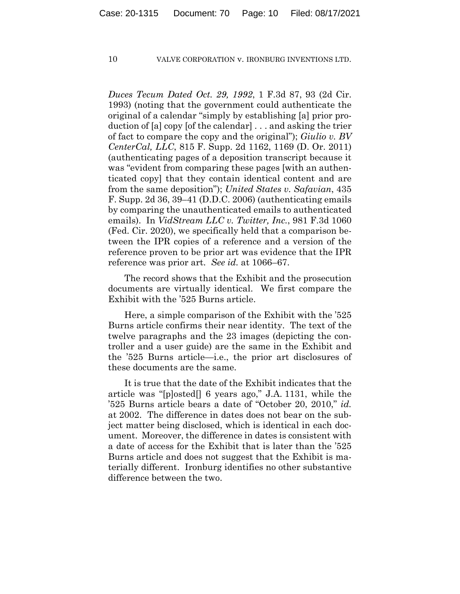*Duces Tecum Dated Oct. 29, 1992*, 1 F.3d 87, 93 (2d Cir. 1993) (noting that the government could authenticate the original of a calendar "simply by establishing [a] prior production of [a] copy [of the calendar] . . . and asking the trier of fact to compare the copy and the original"); *Giulio v. BV CenterCal, LLC*, 815 F. Supp. 2d 1162, 1169 (D. Or. 2011) (authenticating pages of a deposition transcript because it was "evident from comparing these pages [with an authenticated copy] that they contain identical content and are from the same deposition"); *United States v. Safavian*, 435 F. Supp. 2d 36, 39–41 (D.D.C. 2006) (authenticating emails by comparing the unauthenticated emails to authenticated emails). In *VidStream LLC v. Twitter, Inc.*, 981 F.3d 1060 (Fed. Cir. 2020), we specifically held that a comparison between the IPR copies of a reference and a version of the reference proven to be prior art was evidence that the IPR reference was prior art. *See id.* at 1066–67.

The record shows that the Exhibit and the prosecution documents are virtually identical. We first compare the Exhibit with the '525 Burns article.

Here, a simple comparison of the Exhibit with the '525 Burns article confirms their near identity. The text of the twelve paragraphs and the 23 images (depicting the controller and a user guide) are the same in the Exhibit and the '525 Burns article—i.e., the prior art disclosures of these documents are the same.

It is true that the date of the Exhibit indicates that the article was "[p]osted[] 6 years ago," J.A. 1131, while the '525 Burns article bears a date of "October 20, 2010," *id.* at 2002. The difference in dates does not bear on the subject matter being disclosed, which is identical in each document. Moreover, the difference in dates is consistent with a date of access for the Exhibit that is later than the '525 Burns article and does not suggest that the Exhibit is materially different. Ironburg identifies no other substantive difference between the two.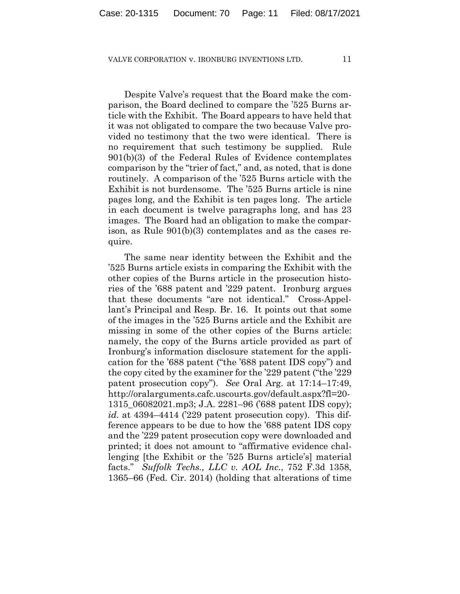Despite Valve's request that the Board make the comparison, the Board declined to compare the '525 Burns article with the Exhibit. The Board appears to have held that it was not obligated to compare the two because Valve provided no testimony that the two were identical. There is no requirement that such testimony be supplied. Rule 901(b)(3) of the Federal Rules of Evidence contemplates comparison by the "trier of fact," and, as noted, that is done routinely. A comparison of the '525 Burns article with the Exhibit is not burdensome. The '525 Burns article is nine pages long, and the Exhibit is ten pages long. The article in each document is twelve paragraphs long, and has 23 images. The Board had an obligation to make the comparison, as Rule 901(b)(3) contemplates and as the cases require.

The same near identity between the Exhibit and the '525 Burns article exists in comparing the Exhibit with the other copies of the Burns article in the prosecution histories of the '688 patent and '229 patent. Ironburg argues that these documents "are not identical." Cross-Appellant's Principal and Resp. Br. 16. It points out that some of the images in the '525 Burns article and the Exhibit are missing in some of the other copies of the Burns article: namely, the copy of the Burns article provided as part of Ironburg's information disclosure statement for the application for the '688 patent ("the '688 patent IDS copy") and the copy cited by the examiner for the '229 patent ("the '229 patent prosecution copy"). *See* Oral Arg. at 17:14–17:49, http://oralarguments.cafc.uscourts.gov/default.aspx?fl=20- 1315\_06082021.mp3; J.A. 2281–96 ('688 patent IDS copy); *id.* at 4394–4414 ('229 patent prosecution copy). This difference appears to be due to how the '688 patent IDS copy and the '229 patent prosecution copy were downloaded and printed; it does not amount to "affirmative evidence challenging [the Exhibit or the '525 Burns article's] material facts." *Suffolk Techs., LLC v. AOL Inc.*, 752 F.3d 1358, 1365–66 (Fed. Cir. 2014) (holding that alterations of time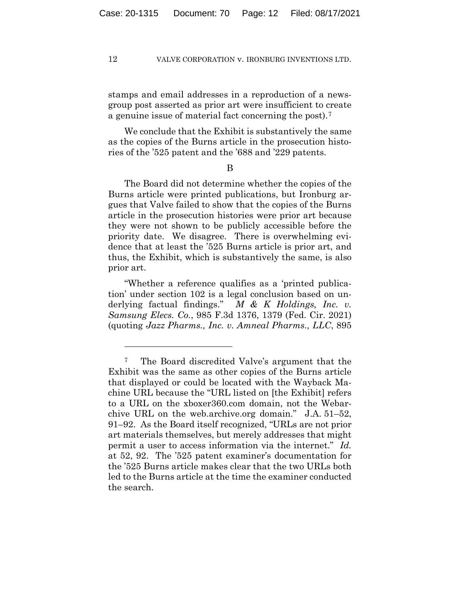stamps and email addresses in a reproduction of a newsgroup post asserted as prior art were insufficient to create a genuine issue of material fact concerning the post).7

We conclude that the Exhibit is substantively the same as the copies of the Burns article in the prosecution histories of the '525 patent and the '688 and '229 patents.

B

The Board did not determine whether the copies of the Burns article were printed publications, but Ironburg argues that Valve failed to show that the copies of the Burns article in the prosecution histories were prior art because they were not shown to be publicly accessible before the priority date. We disagree. There is overwhelming evidence that at least the '525 Burns article is prior art, and thus, the Exhibit, which is substantively the same, is also prior art.

"Whether a reference qualifies as a 'printed publication' under section 102 is a legal conclusion based on underlying factual findings." *M & K Holdings, Inc. v. Samsung Elecs. Co.*, 985 F.3d 1376, 1379 (Fed. Cir. 2021) (quoting *Jazz Pharms., Inc. v. Amneal Pharms., LLC*, 895

<sup>7</sup> The Board discredited Valve's argument that the Exhibit was the same as other copies of the Burns article that displayed or could be located with the Wayback Machine URL because the "URL listed on [the Exhibit] refers to a URL on the xboxer360.com domain, not the Webarchive URL on the web.archive.org domain." J.A. 51–52, 91–92. As the Board itself recognized, "URLs are not prior art materials themselves, but merely addresses that might permit a user to access information via the internet." *Id.* at 52, 92. The '525 patent examiner's documentation for the '525 Burns article makes clear that the two URLs both led to the Burns article at the time the examiner conducted the search.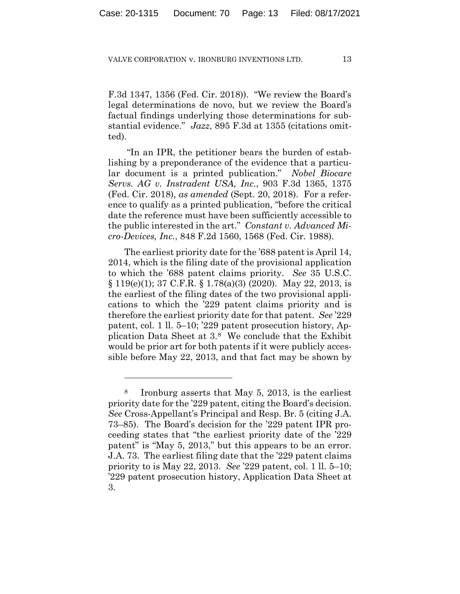F.3d 1347, 1356 (Fed. Cir. 2018)). "We review the Board's legal determinations de novo, but we review the Board's factual findings underlying those determinations for substantial evidence." *Jazz*, 895 F.3d at 1355 (citations omitted).

"In an IPR, the petitioner bears the burden of establishing by a preponderance of the evidence that a particular document is a printed publication." *Nobel Biocare Servs. AG v. Instradent USA, Inc.*, 903 F.3d 1365, 1375 (Fed. Cir. 2018), *as amended* (Sept. 20, 2018). For a reference to qualify as a printed publication, "before the critical date the reference must have been sufficiently accessible to the public interested in the art." *Constant v. Advanced Micro-Devices, Inc.*, 848 F.2d 1560, 1568 (Fed. Cir. 1988).

The earliest priority date for the '688 patent is April 14, 2014, which is the filing date of the provisional application to which the '688 patent claims priority. *See* 35 U.S.C.  $\S 119(e)(1)$ ; 37 C.F.R.  $\S 1.78(a)(3)$  (2020). May 22, 2013, is the earliest of the filing dates of the two provisional applications to which the '229 patent claims priority and is therefore the earliest priority date for that patent. *See* '229 patent, col. 1 ll. 5–10; '229 patent prosecution history, Application Data Sheet at 3.8 We conclude that the Exhibit would be prior art for both patents if it were publicly accessible before May 22, 2013, and that fact may be shown by

<sup>8</sup> Ironburg asserts that May 5, 2013, is the earliest priority date for the '229 patent, citing the Board's decision. *See* Cross-Appellant's Principal and Resp. Br. 5 (citing J.A. 73–85). The Board's decision for the '229 patent IPR proceeding states that "the earliest priority date of the '229 patent" is "May 5, 2013," but this appears to be an error. J.A. 73. The earliest filing date that the '229 patent claims priority to is May 22, 2013. *See* '229 patent, col. 1 ll. 5–10; '229 patent prosecution history, Application Data Sheet at 3.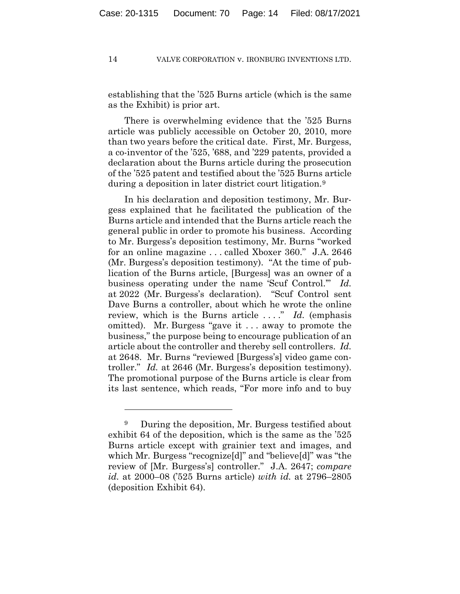establishing that the '525 Burns article (which is the same as the Exhibit) is prior art.

There is overwhelming evidence that the '525 Burns article was publicly accessible on October 20, 2010, more than two years before the critical date. First, Mr. Burgess, a co-inventor of the '525, '688, and '229 patents, provided a declaration about the Burns article during the prosecution of the '525 patent and testified about the '525 Burns article during a deposition in later district court litigation.9

In his declaration and deposition testimony, Mr. Burgess explained that he facilitated the publication of the Burns article and intended that the Burns article reach the general public in order to promote his business. According to Mr. Burgess's deposition testimony, Mr. Burns "worked for an online magazine . . . called Xboxer 360." J.A. 2646 (Mr. Burgess's deposition testimony). "At the time of publication of the Burns article, [Burgess] was an owner of a business operating under the name 'Scuf Control.'" *Id.* at 2022 (Mr. Burgess's declaration). "Scuf Control sent Dave Burns a controller, about which he wrote the online review, which is the Burns article . . . ." *Id.* (emphasis omitted). Mr. Burgess "gave it . . . away to promote the business," the purpose being to encourage publication of an article about the controller and thereby sell controllers. *Id.* at 2648. Mr. Burns "reviewed [Burgess's] video game controller." *Id.* at 2646 (Mr. Burgess's deposition testimony). The promotional purpose of the Burns article is clear from its last sentence, which reads, "For more info and to buy

<sup>9</sup> During the deposition, Mr. Burgess testified about exhibit 64 of the deposition, which is the same as the '525 Burns article except with grainier text and images, and which Mr. Burgess "recognize[d]" and "believe[d]" was "the review of [Mr. Burgess's] controller." J.A. 2647; *compare id.* at 2000–08 ('525 Burns article) *with id.* at 2796–2805 (deposition Exhibit 64).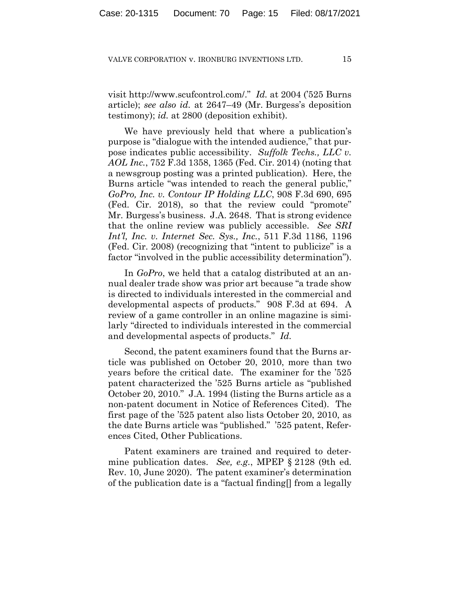visit http://www.scufcontrol.com/." *Id.* at 2004 ('525 Burns article); *see also id.* at 2647–49 (Mr. Burgess's deposition testimony); *id.* at 2800 (deposition exhibit).

We have previously held that where a publication's purpose is "dialogue with the intended audience," that purpose indicates public accessibility. *Suffolk Techs., LLC v. AOL Inc.*, 752 F.3d 1358, 1365 (Fed. Cir. 2014) (noting that a newsgroup posting was a printed publication). Here, the Burns article "was intended to reach the general public," *GoPro, Inc. v. Contour IP Holding LLC*, 908 F.3d 690, 695 (Fed. Cir. 2018), so that the review could "promote" Mr. Burgess's business. J.A. 2648. That is strong evidence that the online review was publicly accessible. *See SRI Int'l, Inc. v. Internet Sec. Sys., Inc.*, 511 F.3d 1186, 1196 (Fed. Cir. 2008) (recognizing that "intent to publicize" is a factor "involved in the public accessibility determination").

In *GoPro*, we held that a catalog distributed at an annual dealer trade show was prior art because "a trade show is directed to individuals interested in the commercial and developmental aspects of products." 908 F.3d at 694. A review of a game controller in an online magazine is similarly "directed to individuals interested in the commercial and developmental aspects of products." *Id.*

Second, the patent examiners found that the Burns article was published on October 20, 2010, more than two years before the critical date. The examiner for the '525 patent characterized the '525 Burns article as "published October 20, 2010." J.A. 1994 (listing the Burns article as a non-patent document in Notice of References Cited). The first page of the '525 patent also lists October 20, 2010, as the date Burns article was "published." '525 patent, References Cited, Other Publications.

Patent examiners are trained and required to determine publication dates. *See, e.g.*, MPEP § 2128 (9th ed. Rev. 10, June 2020). The patent examiner's determination of the publication date is a "factual finding[] from a legally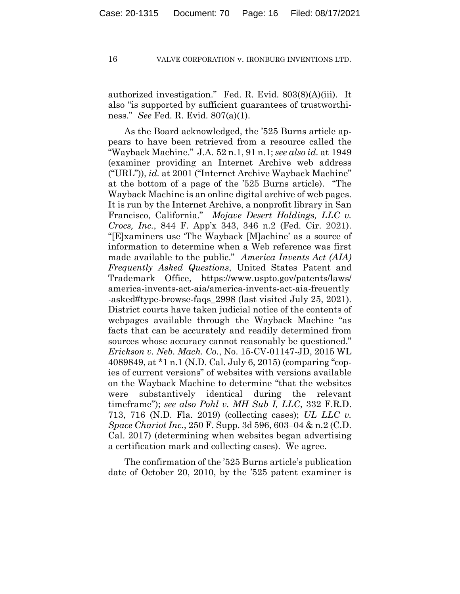authorized investigation." Fed. R. Evid. 803(8)(A)(iii). It also "is supported by sufficient guarantees of trustworthiness." *See* Fed. R. Evid. 807(a)(1).

As the Board acknowledged, the '525 Burns article appears to have been retrieved from a resource called the "Wayback Machine." J.A. 52 n.1, 91 n.1; *see also id.* at 1949 (examiner providing an Internet Archive web address ("URL")), *id.* at 2001 ("Internet Archive Wayback Machine" at the bottom of a page of the '525 Burns article). "The Wayback Machine is an online digital archive of web pages. It is run by the Internet Archive, a nonprofit library in San Francisco, California." *Mojave Desert Holdings, LLC v. Crocs, Inc.*, 844 F. App'x 343, 346 n.2 (Fed. Cir. 2021). "[E]xaminers use 'The Wayback [M]achine' as a source of information to determine when a Web reference was first made available to the public." *America Invents Act (AIA) Frequently Asked Questions*, United States Patent and Trademark Office, https://www.uspto.gov/patents/laws/ america-invents-act-aia/america-invents-act-aia-freuently -asked#type-browse-faqs\_2998 (last visited July 25, 2021). District courts have taken judicial notice of the contents of webpages available through the Wayback Machine "as facts that can be accurately and readily determined from sources whose accuracy cannot reasonably be questioned." *Erickson v. Neb. Mach. Co.*, No. 15-CV-01147-JD, 2015 WL 4089849, at \*1 n.1 (N.D. Cal. July 6, 2015) (comparing "copies of current versions" of websites with versions available on the Wayback Machine to determine "that the websites were substantively identical during the relevant timeframe"); *see also Pohl v. MH Sub I, LLC*, 332 F.R.D. 713, 716 (N.D. Fla. 2019) (collecting cases); *UL LLC v. Space Chariot Inc.*, 250 F. Supp. 3d 596, 603–04 & n.2 (C.D. Cal. 2017) (determining when websites began advertising a certification mark and collecting cases). We agree.

The confirmation of the '525 Burns article's publication date of October 20, 2010, by the '525 patent examiner is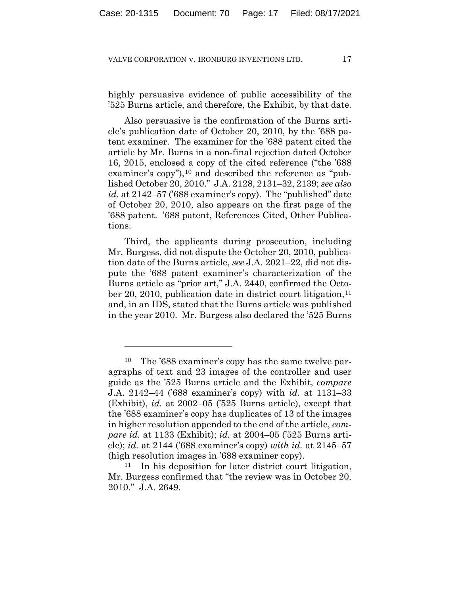highly persuasive evidence of public accessibility of the '525 Burns article, and therefore, the Exhibit, by that date.

Also persuasive is the confirmation of the Burns article's publication date of October 20, 2010, by the '688 patent examiner. The examiner for the '688 patent cited the article by Mr. Burns in a non-final rejection dated October 16, 2015, enclosed a copy of the cited reference ("the '688 examiner's copy"),<sup>10</sup> and described the reference as "published October 20, 2010." J.A. 2128, 2131–32, 2139; *see also id.* at 2142–57 ('688 examiner's copy). The "published" date of October 20, 2010, also appears on the first page of the '688 patent. '688 patent, References Cited, Other Publications.

Third, the applicants during prosecution, including Mr. Burgess, did not dispute the October 20, 2010, publication date of the Burns article, *see* J.A. 2021–22, did not dispute the '688 patent examiner's characterization of the Burns article as "prior art," J.A. 2440, confirmed the October 20, 2010, publication date in district court litigation,  $11$ and, in an IDS, stated that the Burns article was published in the year 2010. Mr. Burgess also declared the '525 Burns

The '688 examiner's copy has the same twelve paragraphs of text and 23 images of the controller and user guide as the '525 Burns article and the Exhibit, *compare* J.A. 2142–44 ('688 examiner's copy) with *id.* at 1131–33 (Exhibit), *id.* at 2002–05 ('525 Burns article), except that the '688 examiner's copy has duplicates of 13 of the images in higher resolution appended to the end of the article, *compare id.* at 1133 (Exhibit); *id.* at 2004–05 ('525 Burns article); *id.* at 2144 ('688 examiner's copy) *with id.* at 2145–57 (high resolution images in '688 examiner copy).

<sup>11</sup> In his deposition for later district court litigation, Mr. Burgess confirmed that "the review was in October 20, 2010." J.A. 2649.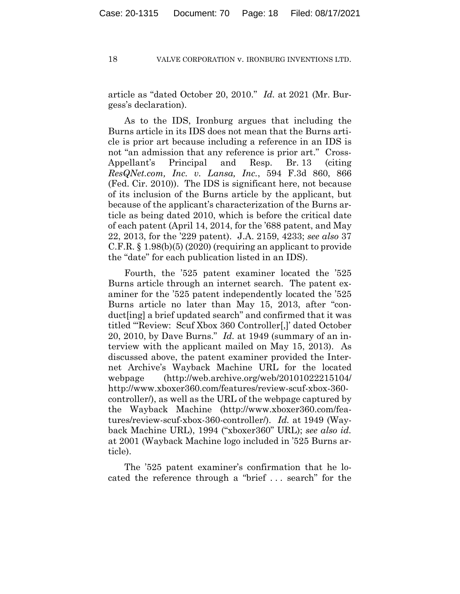article as "dated October 20, 2010." *Id.* at 2021 (Mr. Burgess's declaration).

As to the IDS, Ironburg argues that including the Burns article in its IDS does not mean that the Burns article is prior art because including a reference in an IDS is not "an admission that any reference is prior art." Cross-Appellant's Principal and Resp. Br. 13 (citing *ResQNet.com, Inc. v. Lansa, Inc.*, 594 F.3d 860, 866 (Fed. Cir. 2010)). The IDS is significant here, not because of its inclusion of the Burns article by the applicant, but because of the applicant's characterization of the Burns article as being dated 2010, which is before the critical date of each patent (April 14, 2014, for the '688 patent, and May 22, 2013, for the '229 patent). J.A. 2159, 4233; *see also* 37 C.F.R.  $\S$  1.98(b)(5) (2020) (requiring an applicant to provide the "date" for each publication listed in an IDS).

Fourth, the '525 patent examiner located the '525 Burns article through an internet search. The patent examiner for the '525 patent independently located the '525 Burns article no later than May 15, 2013, after "conduct[ing] a brief updated search" and confirmed that it was titled "'Review: Scuf Xbox 360 Controller[,]' dated October 20, 2010, by Dave Burns." *Id.* at 1949 (summary of an interview with the applicant mailed on May 15, 2013). As discussed above, the patent examiner provided the Internet Archive's Wayback Machine URL for the located webpage (http://web.archive.org/web/20101022215104/ http://www.xboxer360.com/features/review-scuf-xbox-360 controller/), as well as the URL of the webpage captured by the Wayback Machine (http://www.xboxer360.com/features/review-scuf-xbox-360-controller/). *Id.* at 1949 (Wayback Machine URL), 1994 ("xboxer360" URL); *see also id.* at 2001 (Wayback Machine logo included in '525 Burns article).

The '525 patent examiner's confirmation that he located the reference through a "brief . . . search" for the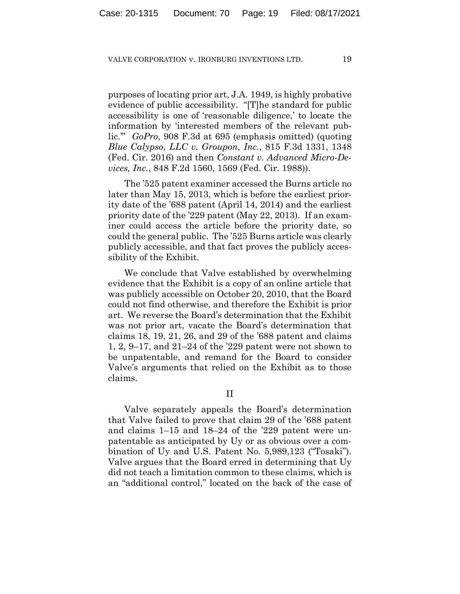purposes of locating prior art, J.A. 1949, is highly probative evidence of public accessibility. "[T]he standard for public accessibility is one of 'reasonable diligence,' to locate the information by 'interested members of the relevant public.'" *GoPro*, 908 F.3d at 695 (emphasis omitted) (quoting *Blue Calypso*, *LLC v. Groupon, Inc.*, 815 F.3d 1331, 1348 (Fed. Cir. 2016) and then *Constant v. Advanced Micro-Devices, Inc.*, 848 F.2d 1560, 1569 (Fed. Cir. 1988)).

The '525 patent examiner accessed the Burns article no later than May 15, 2013, which is before the earliest priority date of the '688 patent (April 14, 2014) and the earliest priority date of the '229 patent (May 22, 2013). If an examiner could access the article before the priority date, so could the general public. The '525 Burns article was clearly publicly accessible, and that fact proves the publicly accessibility of the Exhibit.

We conclude that Valve established by overwhelming evidence that the Exhibit is a copy of an online article that was publicly accessible on October 20, 2010, that the Board could not find otherwise, and therefore the Exhibit is prior art. We reverse the Board's determination that the Exhibit was not prior art, vacate the Board's determination that claims 18, 19, 21, 26, and 29 of the '688 patent and claims 1, 2, 9–17, and 21–24 of the '229 patent were not shown to be unpatentable, and remand for the Board to consider Valve's arguments that relied on the Exhibit as to those claims.

II

Valve separately appeals the Board's determination that Valve failed to prove that claim 29 of the '688 patent and claims 1–15 and 18–24 of the '229 patent were unpatentable as anticipated by Uy or as obvious over a combination of Uy and U.S. Patent No. 5,989,123 ("Tosaki"). Valve argues that the Board erred in determining that Uy did not teach a limitation common to these claims, which is an "additional control," located on the back of the case of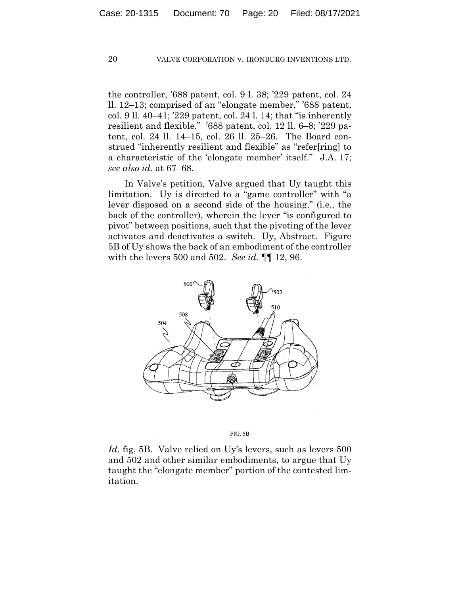the controller, '688 patent, col. 9 l. 38; '229 patent, col. 24 ll. 12–13; comprised of an "elongate member," '688 patent, col. 9 ll. 40–41; '229 patent, col. 24 l. 14; that "is inherently resilient and flexible." '688 patent, col. 12 ll. 6–8; '229 patent, col. 24 ll. 14–15, col. 26 ll. 25–26. The Board construed "inherently resilient and flexible" as "refer[ring] to a characteristic of the 'elongate member' itself." J.A. 17; *see also id.* at 67–68.

In Valve's petition, Valve argued that Uy taught this limitation. Uy is directed to a "game controller" with "a lever disposed on a second side of the housing," (i.e., the back of the controller), wherein the lever "is configured to pivot" between positions, such that the pivoting of the lever activates and deactivates a switch. Uy, Abstract. Figure 5B of Uy shows the back of an embodiment of the controller with the levers 500 and 502. *See id.* ¶¶ 12, 96.



FIG. 5B

*Id.* fig. 5B. Valve relied on Uy's levers, such as levers 500 and 502 and other similar embodiments, to argue that Uy taught the "elongate member" portion of the contested limitation.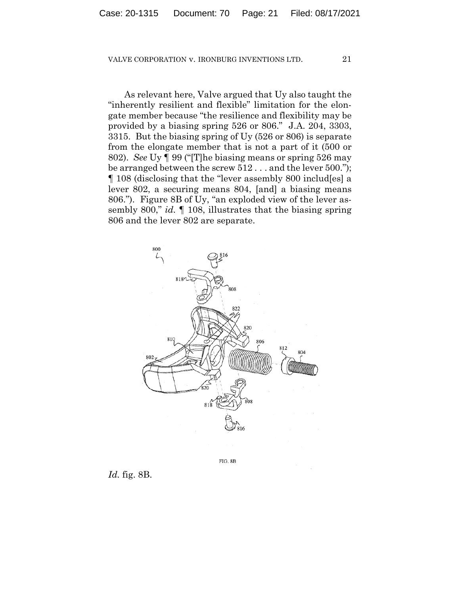As relevant here, Valve argued that Uy also taught the "inherently resilient and flexible" limitation for the elongate member because "the resilience and flexibility may be provided by a biasing spring 526 or 806." J.A. 204, 3303, 3315. But the biasing spring of Uy (526 or 806) is separate from the elongate member that is not a part of it (500 or 802). *See* Uy ¶ 99 ("[T]he biasing means or spring 526 may be arranged between the screw 512 . . . and the lever 500."); ¶ 108 (disclosing that the "lever assembly 800 includ[es] a lever 802, a securing means 804, [and] a biasing means 806."). Figure 8B of Uy, "an exploded view of the lever assembly 800," *id.* ¶ 108, illustrates that the biasing spring 806 and the lever 802 are separate.



FIG. 8B

*Id.* fig. 8B.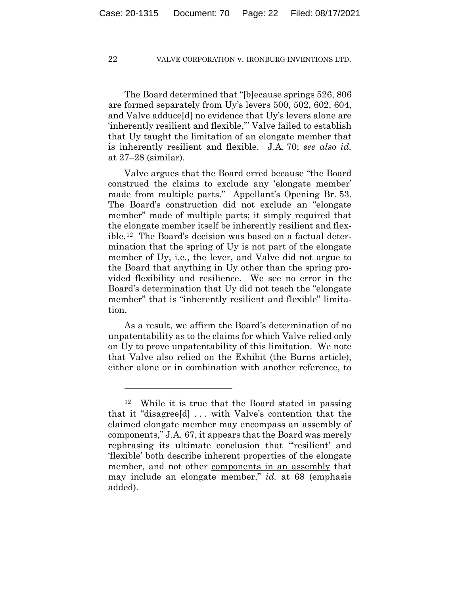The Board determined that "[b]ecause springs 526, 806 are formed separately from Uy's levers 500, 502, 602, 604, and Valve adduce[d] no evidence that Uy's levers alone are 'inherently resilient and flexible,'" Valve failed to establish that Uy taught the limitation of an elongate member that is inherently resilient and flexible. J.A. 70; *see also id.* at 27–28 (similar).

Valve argues that the Board erred because "the Board construed the claims to exclude any 'elongate member' made from multiple parts." Appellant's Opening Br. 53. The Board's construction did not exclude an "elongate member" made of multiple parts; it simply required that the elongate member itself be inherently resilient and flexible.12 The Board's decision was based on a factual determination that the spring of Uy is not part of the elongate member of Uy, i.e., the lever, and Valve did not argue to the Board that anything in Uy other than the spring provided flexibility and resilience. We see no error in the Board's determination that Uy did not teach the "elongate member" that is "inherently resilient and flexible" limitation.

As a result, we affirm the Board's determination of no unpatentability as to the claims for which Valve relied only on Uy to prove unpatentability of this limitation. We note that Valve also relied on the Exhibit (the Burns article), either alone or in combination with another reference, to

<sup>12</sup> While it is true that the Board stated in passing that it "disagree[d] . . . with Valve's contention that the claimed elongate member may encompass an assembly of components," J.A. 67, it appears that the Board was merely rephrasing its ultimate conclusion that "'resilient' and 'flexible' both describe inherent properties of the elongate member, and not other components in an assembly that may include an elongate member," *id.* at 68 (emphasis added).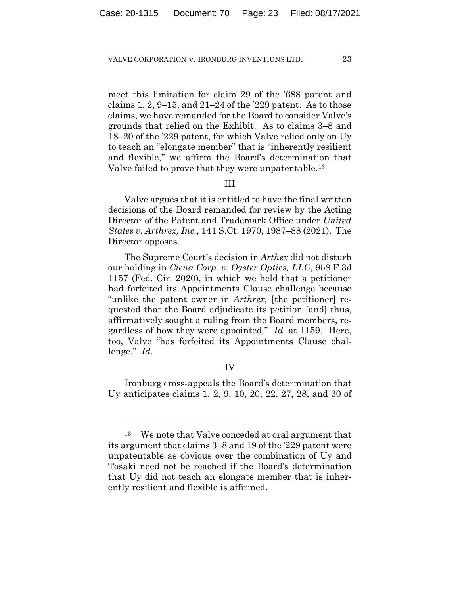meet this limitation for claim 29 of the '688 patent and claims 1, 2, 9–15, and  $21-24$  of the '229 patent. As to those claims, we have remanded for the Board to consider Valve's grounds that relied on the Exhibit. As to claims 3–8 and 18–20 of the '229 patent, for which Valve relied only on Uy to teach an "elongate member" that is "inherently resilient and flexible," we affirm the Board's determination that Valve failed to prove that they were unpatentable.<sup>13</sup>

## III

Valve argues that it is entitled to have the final written decisions of the Board remanded for review by the Acting Director of the Patent and Trademark Office under *United States v. Arthrex, Inc.*, 141 S.Ct. 1970, 1987–88 (2021). The Director opposes.

The Supreme Court's decision in *Arthex* did not disturb our holding in *Ciena Corp. v. Oyster Optics, LLC*, 958 F.3d 1157 (Fed. Cir. 2020), in which we held that a petitioner had forfeited its Appointments Clause challenge because "unlike the patent owner in *Arthrex*, [the petitioner] requested that the Board adjudicate its petition [and] thus, affirmatively sought a ruling from the Board members, regardless of how they were appointed." *Id.* at 1159. Here, too, Valve "has forfeited its Appointments Clause challenge." *Id.*

## IV

Ironburg cross-appeals the Board's determination that Uy anticipates claims 1, 2, 9, 10, 20, 22, 27, 28, and 30 of

<sup>13</sup> We note that Valve conceded at oral argument that its argument that claims 3–8 and 19 of the '229 patent were unpatentable as obvious over the combination of Uy and Tosaki need not be reached if the Board's determination that Uy did not teach an elongate member that is inherently resilient and flexible is affirmed.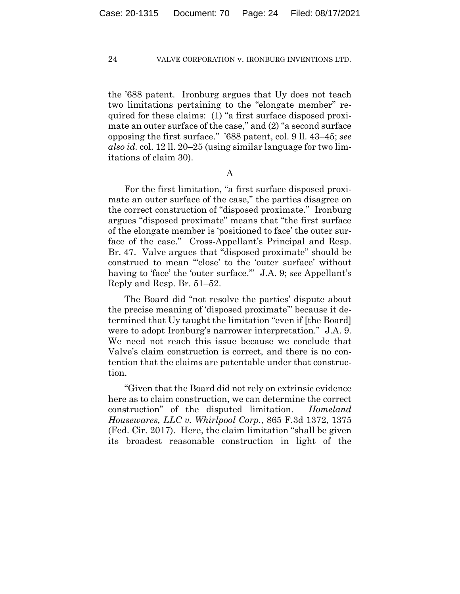the '688 patent. Ironburg argues that Uy does not teach two limitations pertaining to the "elongate member" required for these claims: (1) "a first surface disposed proximate an outer surface of the case," and (2) "a second surface opposing the first surface." '688 patent, col. 9 ll. 43–45; *see also id.* col. 12 ll. 20–25 (using similar language for two limitations of claim 30).

A

For the first limitation, "a first surface disposed proximate an outer surface of the case," the parties disagree on the correct construction of "disposed proximate." Ironburg argues "disposed proximate" means that "the first surface of the elongate member is 'positioned to face' the outer surface of the case." Cross-Appellant's Principal and Resp. Br. 47. Valve argues that "disposed proximate" should be construed to mean "'close' to the 'outer surface' without having to 'face' the 'outer surface.'" J.A. 9; *see* Appellant's Reply and Resp. Br. 51–52.

The Board did "not resolve the parties' dispute about the precise meaning of 'disposed proximate'" because it determined that Uy taught the limitation "even if [the Board] were to adopt Ironburg's narrower interpretation." J.A. 9. We need not reach this issue because we conclude that Valve's claim construction is correct, and there is no contention that the claims are patentable under that construction.

"Given that the Board did not rely on extrinsic evidence here as to claim construction, we can determine the correct construction" of the disputed limitation. *Homeland Housewares, LLC v. Whirlpool Corp.*, 865 F.3d 1372, 1375 (Fed. Cir. 2017). Here, the claim limitation "shall be given its broadest reasonable construction in light of the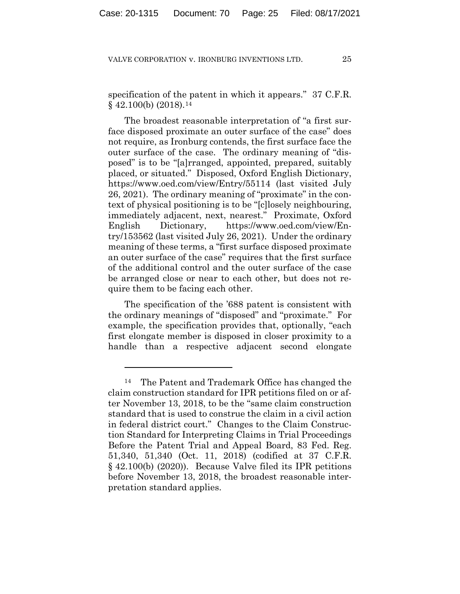specification of the patent in which it appears." 37 C.F.R.  $§$  42.100(b) (2018).<sup>14</sup>

The broadest reasonable interpretation of "a first surface disposed proximate an outer surface of the case" does not require, as Ironburg contends, the first surface face the outer surface of the case. The ordinary meaning of "disposed" is to be "[a]rranged, appointed, prepared, suitably placed, or situated." Disposed, Oxford English Dictionary, https://www.oed.com/view/Entry/55114 (last visited July 26, 2021). The ordinary meaning of "proximate" in the context of physical positioning is to be "[c]losely neighbouring, immediately adjacent, next, nearest." Proximate, Oxford English Dictionary, https://www.oed.com/view/Entry/153562 (last visited July 26, 2021). Under the ordinary meaning of these terms, a "first surface disposed proximate an outer surface of the case" requires that the first surface of the additional control and the outer surface of the case be arranged close or near to each other, but does not require them to be facing each other.

The specification of the '688 patent is consistent with the ordinary meanings of "disposed" and "proximate." For example, the specification provides that, optionally, "each first elongate member is disposed in closer proximity to a handle than a respective adjacent second elongate

<sup>14</sup> The Patent and Trademark Office has changed the claim construction standard for IPR petitions filed on or after November 13, 2018, to be the "same claim construction standard that is used to construe the claim in a civil action in federal district court." Changes to the Claim Construction Standard for Interpreting Claims in Trial Proceedings Before the Patent Trial and Appeal Board, 83 Fed. Reg. 51,340, 51,340 (Oct. 11, 2018) (codified at 37 C.F.R. § 42.100(b) (2020)). Because Valve filed its IPR petitions before November 13, 2018, the broadest reasonable interpretation standard applies.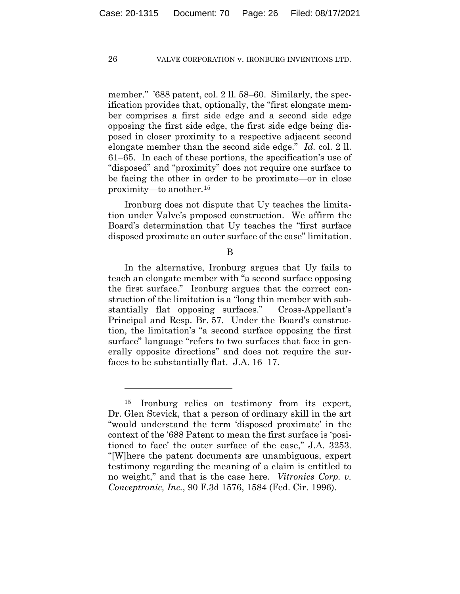member." '688 patent, col. 2 ll. 58–60. Similarly, the specification provides that, optionally, the "first elongate member comprises a first side edge and a second side edge opposing the first side edge, the first side edge being disposed in closer proximity to a respective adjacent second elongate member than the second side edge." *Id.* col. 2 ll. 61–65. In each of these portions, the specification's use of "disposed" and "proximity" does not require one surface to be facing the other in order to be proximate—or in close proximity—to another.15

Ironburg does not dispute that Uy teaches the limitation under Valve's proposed construction. We affirm the Board's determination that Uy teaches the "first surface disposed proximate an outer surface of the case" limitation.

B

In the alternative, Ironburg argues that Uy fails to teach an elongate member with "a second surface opposing the first surface." Ironburg argues that the correct construction of the limitation is a "long thin member with substantially flat opposing surfaces." Cross-Appellant's Principal and Resp. Br. 57. Under the Board's construction, the limitation's "a second surface opposing the first surface" language "refers to two surfaces that face in generally opposite directions" and does not require the surfaces to be substantially flat. J.A. 16–17.

<sup>15</sup> Ironburg relies on testimony from its expert, Dr. Glen Stevick, that a person of ordinary skill in the art "would understand the term 'disposed proximate' in the context of the '688 Patent to mean the first surface is 'positioned to face' the outer surface of the case," J.A. 3253. "[W]here the patent documents are unambiguous, expert testimony regarding the meaning of a claim is entitled to no weight," and that is the case here. *Vitronics Corp. v. Conceptronic, Inc.*, 90 F.3d 1576, 1584 (Fed. Cir. 1996).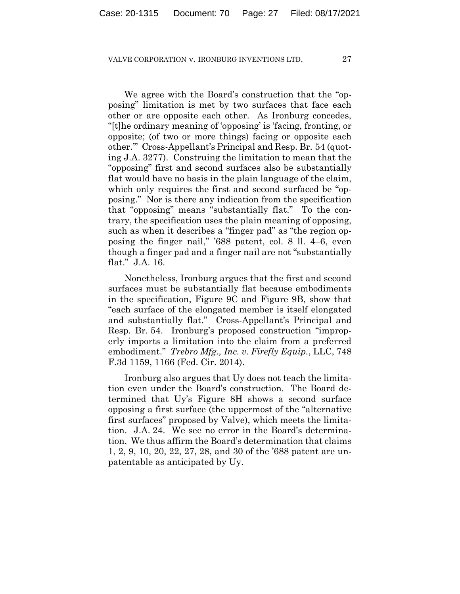We agree with the Board's construction that the "opposing" limitation is met by two surfaces that face each other or are opposite each other. As Ironburg concedes, "[t]he ordinary meaning of 'opposing' is 'facing, fronting, or opposite; (of two or more things) facing or opposite each other.'" Cross-Appellant's Principal and Resp. Br. 54 (quoting J.A. 3277). Construing the limitation to mean that the "opposing" first and second surfaces also be substantially flat would have no basis in the plain language of the claim, which only requires the first and second surfaced be "opposing." Nor is there any indication from the specification that "opposing" means "substantially flat." To the contrary, the specification uses the plain meaning of opposing, such as when it describes a "finger pad" as "the region opposing the finger nail," '688 patent, col. 8 ll. 4–6, even though a finger pad and a finger nail are not "substantially flat." J.A. 16.

Nonetheless, Ironburg argues that the first and second surfaces must be substantially flat because embodiments in the specification, Figure 9C and Figure 9B, show that "each surface of the elongated member is itself elongated and substantially flat." Cross-Appellant's Principal and Resp. Br. 54. Ironburg's proposed construction "improperly imports a limitation into the claim from a preferred embodiment." *Trebro Mfg., Inc. v. Firefly Equip.*, LLC, 748 F.3d 1159, 1166 (Fed. Cir. 2014).

Ironburg also argues that Uy does not teach the limitation even under the Board's construction. The Board determined that Uy's Figure 8H shows a second surface opposing a first surface (the uppermost of the "alternative first surfaces" proposed by Valve), which meets the limitation. J.A. 24. We see no error in the Board's determination. We thus affirm the Board's determination that claims 1, 2, 9, 10, 20, 22, 27, 28, and 30 of the '688 patent are unpatentable as anticipated by Uy.